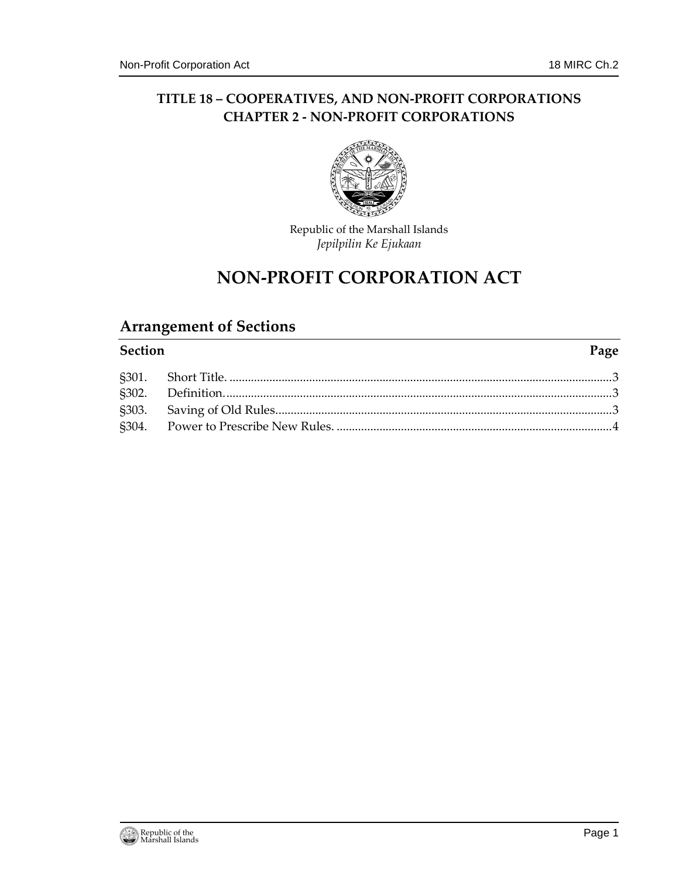## **TITLE 18 – COOPERATIVES, AND NON-PROFIT CORPORATIONS CHAPTER 2 - NON-PROFIT CORPORATIONS**



Republic of the Marshall Islands *Jepilpilin Ke Ejukaan*

# **NON-PROFIT CORPORATION ACT**

# **Arrangement of Sections**

#### **Section Page**

§301. Short Title. [.............................................................................................................................3](#page-2-0) §302. [Definition...............................................................................................................................3](#page-2-1) §303. [Saving of Old Rules..............................................................................................................3](#page-2-2) §304. Power to Prescribe New Rules. [..........................................................................................4](#page-3-0)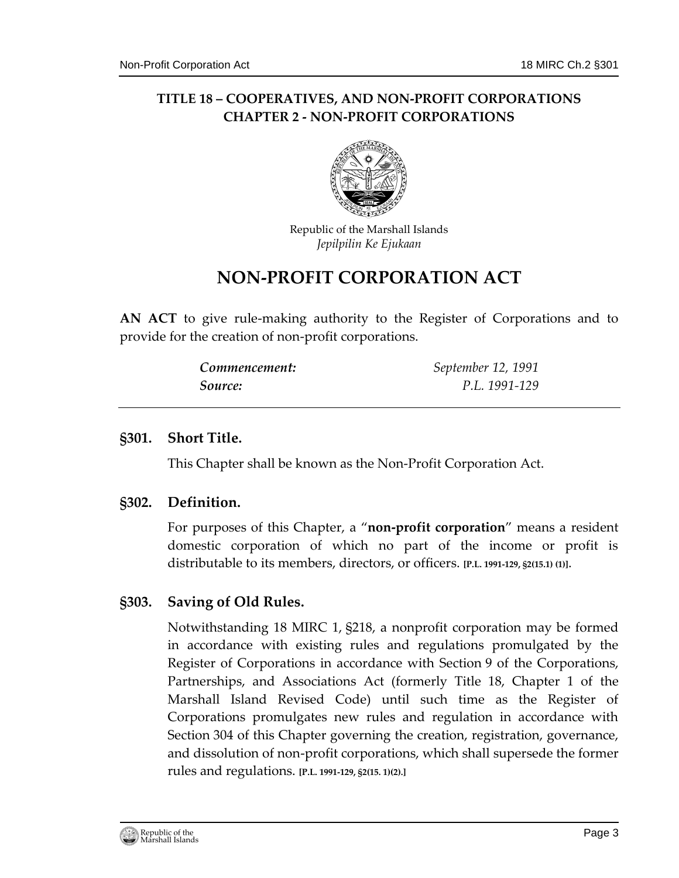# **TITLE 18 – COOPERATIVES, AND NON-PROFIT CORPORATIONS CHAPTER 2 - NON-PROFIT CORPORATIONS**



Republic of the Marshall Islands *Jepilpilin Ke Ejukaan*

# **NON-PROFIT CORPORATION ACT**

**AN ACT** to give rule-making authority to the Register of Corporations and to provide for the creation of non-profit corporations.

| Commencement: | September 12, 1991 |
|---------------|--------------------|
| Source:       | P.L. 1991-129      |

### <span id="page-2-0"></span>**§301. Short Title.**

This Chapter shall be known as the Non-Profit Corporation Act.

#### <span id="page-2-1"></span>**§302. Definition.**

For purposes of this Chapter, a "**non-profit corporation**" means a resident domestic corporation of which no part of the income or profit is distributable to its members, directors, or officers. **[P.L. 1991-129, §2(15.1) (1)]**.

### <span id="page-2-2"></span>**§303. Saving of Old Rules.**

Notwithstanding 18 MIRC 1, §218, a nonprofit corporation may be formed in accordance with existing rules and regulations promulgated by the Register of Corporations in accordance with Section 9 of the Corporations, Partnerships, and Associations Act (formerly Title 18, Chapter 1 of the Marshall Island Revised Code) until such time as the Register of Corporations promulgates new rules and regulation in accordance with Section 304 of this Chapter governing the creation, registration, governance, and dissolution of non-profit corporations, which shall supersede the former rules and regulations. **[P.L. 1991-129, §2(15. 1)(2).]**